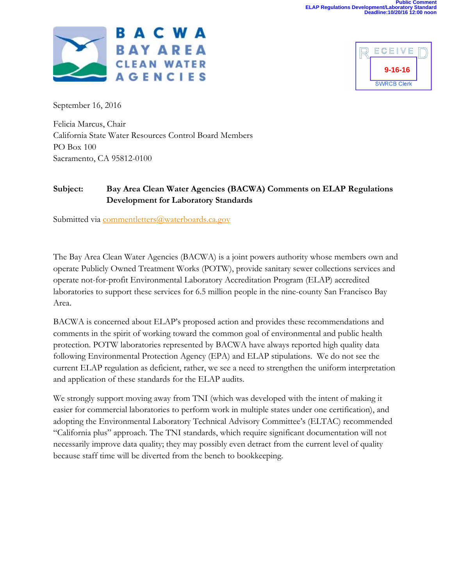



September 16, 2016

Felicia Marcus, Chair California State Water Resources Control Board Members PO Box 100 Sacramento, CA 95812-0100

## **Subject: Bay Area Clean Water Agencies (BACWA) Comments on ELAP Regulations Development for Laboratory Standards**

Submitted via commentletters@waterboards.ca.gov

The Bay Area Clean Water Agencies (BACWA) is a joint powers authority whose members own and operate Publicly Owned Treatment Works (POTW), provide sanitary sewer collections services and operate not-for-profit Environmental Laboratory Accreditation Program (ELAP) accredited laboratories to support these services for 6.5 million people in the nine-county San Francisco Bay Area.

BACWA is concerned about ELAP's proposed action and provides these recommendations and comments in the spirit of working toward the common goal of environmental and public health protection. POTW laboratories represented by BACWA have always reported high quality data following Environmental Protection Agency (EPA) and ELAP stipulations. We do not see the current ELAP regulation as deficient, rather, we see a need to strengthen the uniform interpretation and application of these standards for the ELAP audits.

We strongly support moving away from TNI (which was developed with the intent of making it easier for commercial laboratories to perform work in multiple states under one certification), and adopting the Environmental Laboratory Technical Advisory Committee's (ELTAC) recommended "California plus" approach. The TNI standards, which require significant documentation will not necessarily improve data quality; they may possibly even detract from the current level of quality because staff time will be diverted from the bench to bookkeeping.